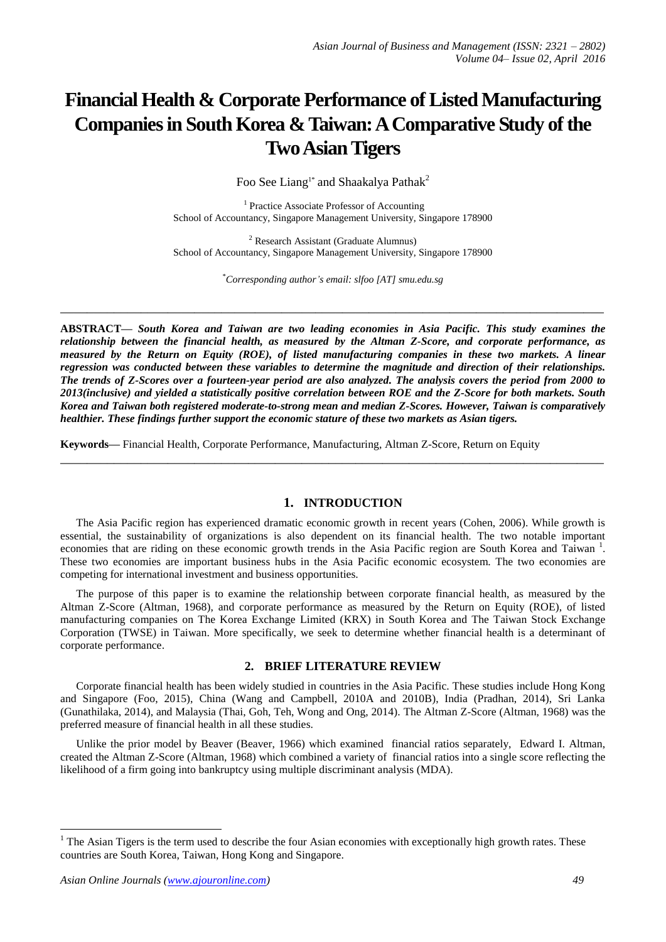# **Financial Health & Corporate Performance of Listed Manufacturing Companies in South Korea & Taiwan: A Comparative Study of the Two Asian Tigers**

Foo See Liang<sup>1\*</sup> and Shaakalya Pathak<sup>2</sup>

<sup>1</sup> Practice Associate Professor of Accounting School of Accountancy, Singapore Management University, Singapore 178900

<sup>2</sup> Research Assistant (Graduate Alumnus) School of Accountancy, Singapore Management University, Singapore 178900

\**Corresponding author's email: slfoo [AT] smu.edu.sg*

**\_\_\_\_\_\_\_\_\_\_\_\_\_\_\_\_\_\_\_\_\_\_\_\_\_\_\_\_\_\_\_\_\_\_\_\_\_\_\_\_\_\_\_\_\_\_\_\_\_\_\_\_\_\_\_\_\_\_\_\_\_\_\_\_\_\_\_\_\_\_\_\_\_\_\_\_\_\_\_\_\_**

**ABSTRACT—** *South Korea and Taiwan are two leading economies in Asia Pacific. This study examines the relationship between the financial health, as measured by the Altman Z-Score, and corporate performance, as measured by the Return on Equity (ROE), of listed manufacturing companies in these two markets. A linear regression was conducted between these variables to determine the magnitude and direction of their relationships. The trends of Z-Scores over a fourteen-year period are also analyzed. The analysis covers the period from 2000 to 2013(inclusive) and yielded a statistically positive correlation between ROE and the Z-Score for both markets. South Korea and Taiwan both registered moderate-to-strong mean and median Z-Scores. However, Taiwan is comparatively healthier. These findings further support the economic stature of these two markets as Asian tigers.* 

**\_\_\_\_\_\_\_\_\_\_\_\_\_\_\_\_\_\_\_\_\_\_\_\_\_\_\_\_\_\_\_\_\_\_\_\_\_\_\_\_\_\_\_\_\_\_\_\_\_\_\_\_\_\_\_\_\_\_\_\_\_\_\_\_\_\_\_\_\_\_\_\_\_\_\_\_\_\_\_\_\_**

**Keywords—** Financial Health, Corporate Performance, Manufacturing, Altman Z-Score, Return on Equity

#### **1. INTRODUCTION**

The Asia Pacific region has experienced dramatic economic growth in recent years (Cohen, 2006). While growth is essential, the sustainability of organizations is also dependent on its financial health. The two notable important economies that are riding on these economic growth trends in the Asia Pacific region are South Korea and Taiwan<sup>1</sup>. These two economies are important business hubs in the Asia Pacific economic ecosystem. The two economies are competing for international investment and business opportunities.

The purpose of this paper is to examine the relationship between corporate financial health, as measured by the Altman Z-Score (Altman, 1968), and corporate performance as measured by the Return on Equity (ROE), of listed manufacturing companies on The Korea Exchange Limited (KRX) in South Korea and The Taiwan Stock Exchange Corporation (TWSE) in Taiwan. More specifically, we seek to determine whether financial health is a determinant of corporate performance.

#### **2. BRIEF LITERATURE REVIEW**

Corporate financial health has been widely studied in countries in the Asia Pacific. These studies include Hong Kong and Singapore (Foo, 2015), China (Wang and Campbell, 2010A and 2010B), India (Pradhan, 2014), Sri Lanka (Gunathilaka, 2014), and Malaysia (Thai, Goh, Teh, Wong and Ong, 2014). The Altman Z-Score (Altman, 1968) was the preferred measure of financial health in all these studies.

Unlike the prior model by Beaver (Beaver, 1966) which examined financial ratios separately, Edward I. Altman, created the Altman Z-Score (Altman, 1968) which combined a variety of financial ratios into a single score reflecting the likelihood of a firm going into bankruptcy using multiple discriminant analysis (MDA).

<u>.</u>

 $1$  The Asian Tigers is the term used to describe the four Asian economies with exceptionally high [growth](http://en.wikipedia.org/wiki/Economic_growth) rates. These countries are [South Korea,](http://en.wikipedia.org/wiki/Economy_of_South_Korea) [Taiwan,](http://en.wikipedia.org/wiki/Economy_of_Taiwan) [Hong Kong](http://en.wikipedia.org/wiki/Economy_of_Hong_Kong) and [Singapore.](http://en.wikipedia.org/wiki/Economy_of_Singapore)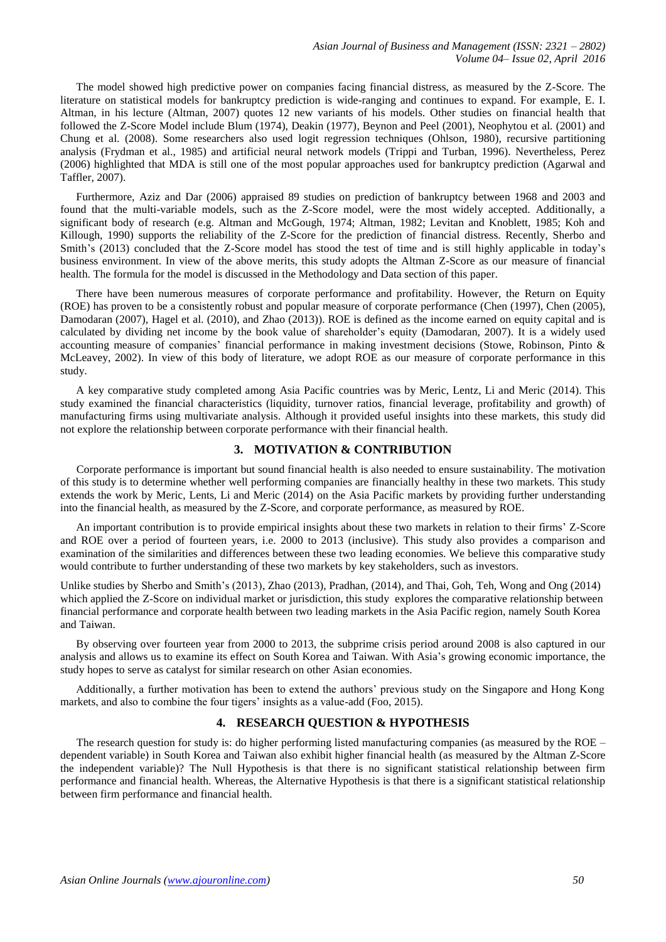The model showed high predictive power on companies facing financial distress, as measured by the Z-Score. The literature on statistical models for bankruptcy prediction is wide-ranging and continues to expand. For example, E. I. Altman, in his lecture (Altman, 2007) quotes 12 new variants of his models. Other studies on financial health that followed the Z-Score Model include Blum (1974), Deakin (1977), Beynon and Peel (2001), Neophytou et al. (2001) and Chung et al. (2008). Some researchers also used logit regression techniques (Ohlson, 1980), recursive partitioning analysis (Frydman et al., 1985) and artificial neural network models (Trippi and Turban, 1996). Nevertheless, Perez (2006) highlighted that MDA is still one of the most popular approaches used for bankruptcy prediction (Agarwal and Taffler, 2007).

Furthermore, Aziz and Dar (2006) appraised 89 studies on prediction of bankruptcy between 1968 and 2003 and found that the multi-variable models, such as the Z-Score model, were the most widely accepted. Additionally, a significant body of research (e.g. Altman and McGough, 1974; Altman, 1982; Levitan and Knoblett, 1985; Koh and Killough, 1990) supports the reliability of the Z-Score for the prediction of financial distress. Recently, Sherbo and Smith's (2013) concluded that the Z-Score model has stood the test of time and is still highly applicable in today's business environment. In view of the above merits, this study adopts the Altman Z-Score as our measure of financial health. The formula for the model is discussed in the Methodology and Data section of this paper.

There have been numerous measures of corporate performance and profitability. However, the Return on Equity (ROE) has proven to be a consistently robust and popular measure of corporate performance (Chen (1997), Chen (2005), Damodaran (2007), Hagel et al. (2010), and Zhao (2013)). ROE is defined as the income earned on equity capital and is calculated by dividing net income by the book value of shareholder's equity (Damodaran, 2007). It is a widely used accounting measure of companies' financial performance in making investment decisions (Stowe, Robinson, Pinto & McLeavey, 2002). In view of this body of literature, we adopt ROE as our measure of corporate performance in this study.

A key comparative study completed among Asia Pacific countries was by Meric, Lentz, Li and Meric (2014). This study examined the financial characteristics (liquidity, turnover ratios, financial leverage, profitability and growth) of manufacturing firms using multivariate analysis. Although it provided useful insights into these markets, this study did not explore the relationship between corporate performance with their financial health.

## **3. MOTIVATION & CONTRIBUTION**

Corporate performance is important but sound financial health is also needed to ensure sustainability. The motivation of this study is to determine whether well performing companies are financially healthy in these two markets. This study extends the work by Meric, Lents, Li and Meric (2014) on the Asia Pacific markets by providing further understanding into the financial health, as measured by the Z-Score, and corporate performance, as measured by ROE.

An important contribution is to provide empirical insights about these two markets in relation to their firms' Z-Score and ROE over a period of fourteen years, i.e. 2000 to 2013 (inclusive). This study also provides a comparison and examination of the similarities and differences between these two leading economies. We believe this comparative study would contribute to further understanding of these two markets by key stakeholders, such as investors.

Unlike studies by Sherbo and Smith's (2013), Zhao (2013), Pradhan, (2014), and Thai, Goh, Teh, Wong and Ong (2014) which applied the Z-Score on individual market or jurisdiction, this study explores the comparative relationship between financial performance and corporate health between two leading markets in the Asia Pacific region, namely South Korea and Taiwan.

By observing over fourteen year from 2000 to 2013, the subprime crisis period around 2008 is also captured in our analysis and allows us to examine its effect on South Korea and Taiwan. With Asia's growing economic importance, the study hopes to serve as catalyst for similar research on other Asian economies.

Additionally, a further motivation has been to extend the authors' previous study on the Singapore and Hong Kong markets, and also to combine the four tigers' insights as a value-add (Foo, 2015).

#### **4. RESEARCH QUESTION & HYPOTHESIS**

The research question for study is: do higher performing listed manufacturing companies (as measured by the ROE – dependent variable) in South Korea and Taiwan also exhibit higher financial health (as measured by the Altman Z-Score the independent variable)? The Null Hypothesis is that there is no significant statistical relationship between firm performance and financial health. Whereas, the Alternative Hypothesis is that there is a significant statistical relationship between firm performance and financial health.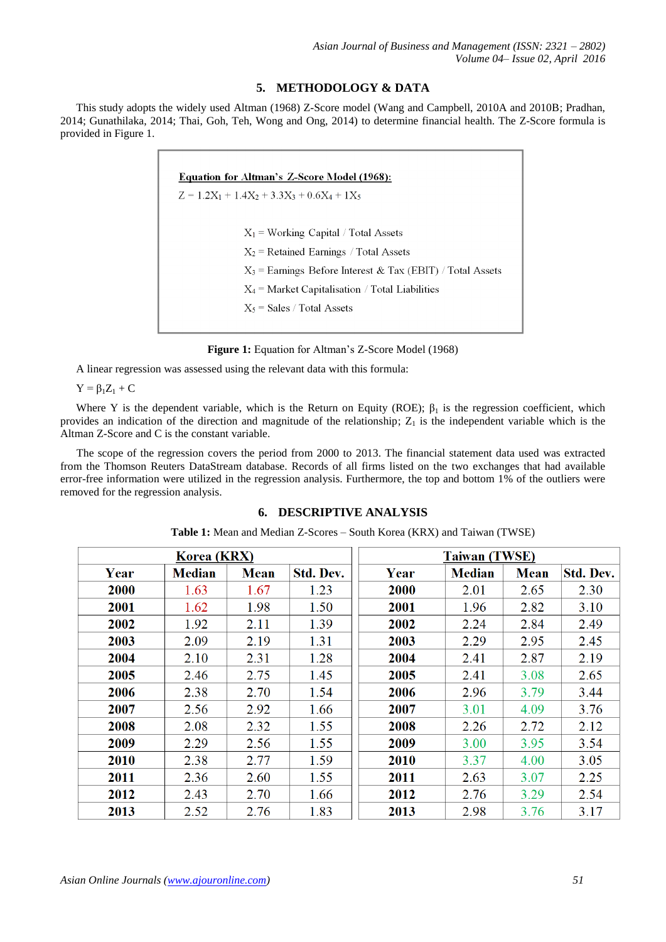## **5. METHODOLOGY & DATA**

This study adopts the widely used Altman (1968) Z-Score model (Wang and Campbell, 2010A and 2010B; Pradhan, 2014; Gunathilaka, 2014; Thai, Goh, Teh, Wong and Ong, 2014) to determine financial health. The Z-Score formula is provided in Figure 1.

| <b>Equation for Altman's Z-Score Model (1968):</b>           |  |  |  |  |  |  |
|--------------------------------------------------------------|--|--|--|--|--|--|
| $Z = 1.2X_1 + 1.4X_2 + 3.3X_3 + 0.6X_4 + 1X_5$               |  |  |  |  |  |  |
|                                                              |  |  |  |  |  |  |
| $X_1$ = Working Capital / Total Assets                       |  |  |  |  |  |  |
| $X_2$ = Retained Earnings / Total Assets                     |  |  |  |  |  |  |
| $X_3$ = Earnings Before Interest & Tax (EBIT) / Total Assets |  |  |  |  |  |  |
| $X_4$ = Market Capitalisation / Total Liabilities            |  |  |  |  |  |  |
| $X_5$ = Sales / Total Assets                                 |  |  |  |  |  |  |
|                                                              |  |  |  |  |  |  |

**Figure 1:** Equation for Altman's Z-Score Model (1968)

A linear regression was assessed using the relevant data with this formula:

 $Y = \beta_1 Z_1 + C$ 

Where Y is the dependent variable, which is the Return on Equity (ROE);  $\beta_1$  is the regression coefficient, which provides an indication of the direction and magnitude of the relationship;  $Z_1$  is the independent variable which is the Altman Z-Score and C is the constant variable.

The scope of the regression covers the period from 2000 to 2013. The financial statement data used was extracted from the Thomson Reuters DataStream database. Records of all firms listed on the two exchanges that had available error-free information were utilized in the regression analysis. Furthermore, the top and bottom 1% of the outliers were removed for the regression analysis.

## **6. DESCRIPTIVE ANALYSIS**

| Korea (KRX) |               |             | <b>Taiwan (TWSE)</b> |  |      |               |             |           |
|-------------|---------------|-------------|----------------------|--|------|---------------|-------------|-----------|
| Year        | <b>Median</b> | <b>Mean</b> | Std. Dev.            |  | Year | <b>Median</b> | <b>Mean</b> | Std. Dev. |
| 2000        | 1.63          | 1.67        | 1.23                 |  | 2000 | 2.01          | 2.65        | 2.30      |
| 2001        | 1.62          | 1.98        | 1.50                 |  | 2001 | 1.96          | 2.82        | 3.10      |
| 2002        | 1.92          | 2.11        | 1.39                 |  | 2002 | 2.24          | 2.84        | 2.49      |
| 2003        | 2.09          | 2.19        | 1.31                 |  | 2003 | 2.29          | 2.95        | 2.45      |
| 2004        | 2.10          | 2.31        | 1.28                 |  | 2004 | 2.41          | 2.87        | 2.19      |
| 2005        | 2.46          | 2.75        | 1.45                 |  | 2005 | 2.41          | 3.08        | 2.65      |
| 2006        | 2.38          | 2.70        | 1.54                 |  | 2006 | 2.96          | 3.79        | 3.44      |
| 2007        | 2.56          | 2.92        | 1.66                 |  | 2007 | 3.01          | 4.09        | 3.76      |
| 2008        | 2.08          | 2.32        | 1.55                 |  | 2008 | 2.26          | 2.72        | 2.12      |
| 2009        | 2.29          | 2.56        | 1.55                 |  | 2009 | 3.00          | 3.95        | 3.54      |
| 2010        | 2.38          | 2.77        | 1.59                 |  | 2010 | 3.37          | 4.00        | 3.05      |
| 2011        | 2.36          | 2.60        | 1.55                 |  | 2011 | 2.63          | 3.07        | 2.25      |
| 2012        | 2.43          | 2.70        | 1.66                 |  | 2012 | 2.76          | 3.29        | 2.54      |
| 2013        | 2.52          | 2.76        | 1.83                 |  | 2013 | 2.98          | 3.76        | 3.17      |

**Table 1:** Mean and Median Z-Scores – South Korea (KRX) and Taiwan (TWSE)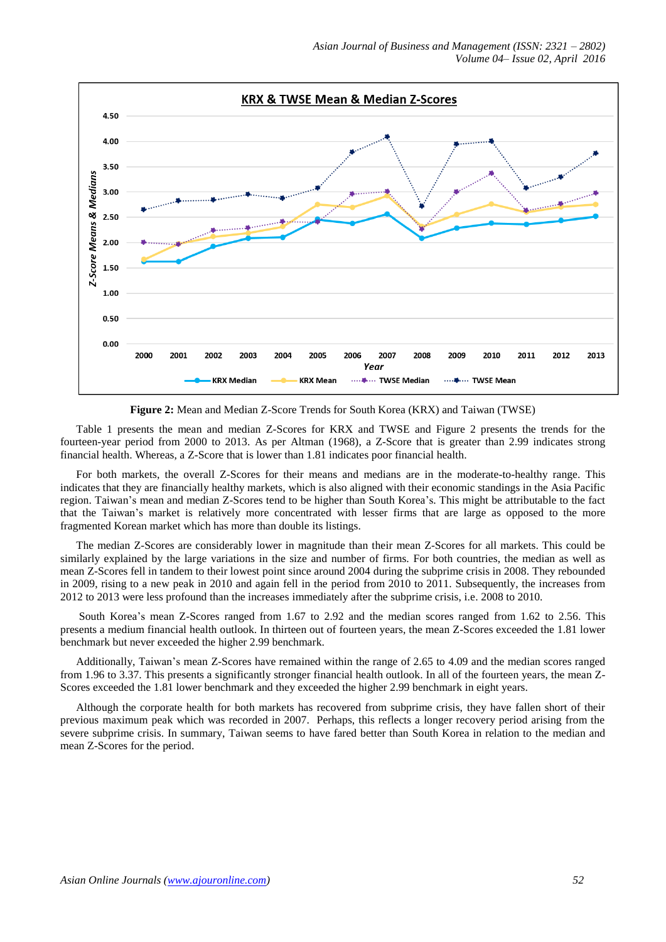

**Figure 2:** Mean and Median Z-Score Trends for South Korea (KRX) and Taiwan (TWSE)

Table 1 presents the mean and median Z-Scores for KRX and TWSE and Figure 2 presents the trends for the fourteen-year period from 2000 to 2013. As per Altman (1968), a Z-Score that is greater than 2.99 indicates strong financial health. Whereas, a Z-Score that is lower than 1.81 indicates poor financial health.

For both markets, the overall Z-Scores for their means and medians are in the moderate-to-healthy range. This indicates that they are financially healthy markets, which is also aligned with their economic standings in the Asia Pacific region. Taiwan's mean and median Z-Scores tend to be higher than South Korea's. This might be attributable to the fact that the Taiwan's market is relatively more concentrated with lesser firms that are large as opposed to the more fragmented Korean market which has more than double its listings.

The median Z-Scores are considerably lower in magnitude than their mean Z-Scores for all markets. This could be similarly explained by the large variations in the size and number of firms. For both countries, the median as well as mean Z-Scores fell in tandem to their lowest point since around 2004 during the subprime crisis in 2008. They rebounded in 2009, rising to a new peak in 2010 and again fell in the period from 2010 to 2011. Subsequently, the increases from 2012 to 2013 were less profound than the increases immediately after the subprime crisis, i.e. 2008 to 2010.

South Korea's mean Z-Scores ranged from 1.67 to 2.92 and the median scores ranged from 1.62 to 2.56. This presents a medium financial health outlook. In thirteen out of fourteen years, the mean Z-Scores exceeded the 1.81 lower benchmark but never exceeded the higher 2.99 benchmark.

Additionally, Taiwan's mean Z-Scores have remained within the range of 2.65 to 4.09 and the median scores ranged from 1.96 to 3.37. This presents a significantly stronger financial health outlook. In all of the fourteen years, the mean Z-Scores exceeded the 1.81 lower benchmark and they exceeded the higher 2.99 benchmark in eight years.

Although the corporate health for both markets has recovered from subprime crisis, they have fallen short of their previous maximum peak which was recorded in 2007. Perhaps, this reflects a longer recovery period arising from the severe subprime crisis. In summary, Taiwan seems to have fared better than South Korea in relation to the median and mean Z-Scores for the period.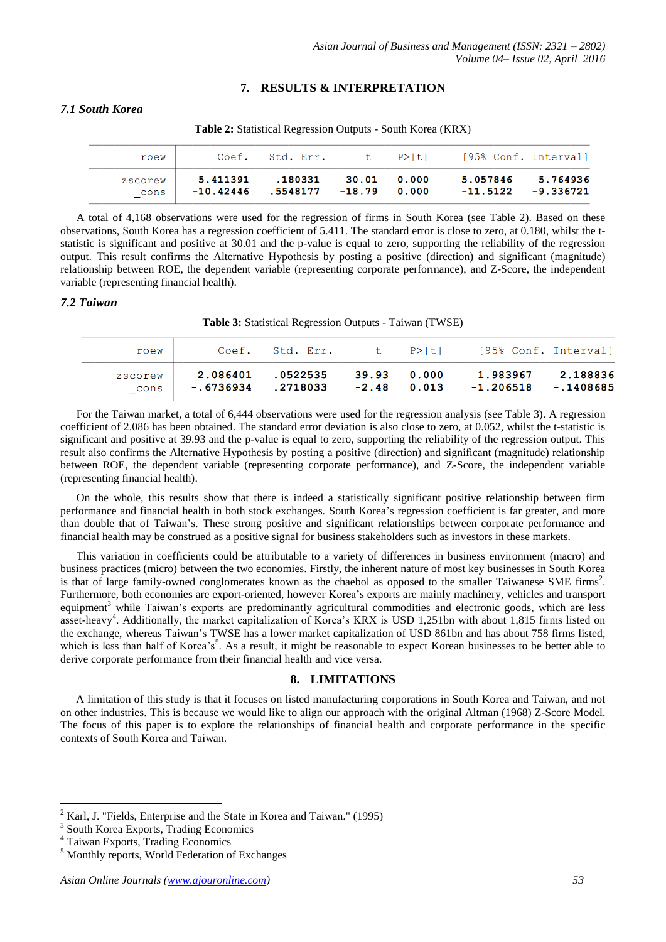## **7. RESULTS & INTERPRETATION**

## *7.1 South Korea*

**Table 2:** Statistical Regression Outputs - South Korea (KRX)

| roew            |                         | Coef. Std. Err.            |             | t P>ltl | [95% Conf. Interval] |                         |
|-----------------|-------------------------|----------------------------|-------------|---------|----------------------|-------------------------|
| zscorew<br>cons | 5.411391<br>$-10.42446$ | .180331<br>.5548177 -18.79 | 30.01 0.000 | 0.000   | 5.057846<br>-11.5122 | 5.764936<br>$-9.336721$ |

A total of 4,168 observations were used for the regression of firms in South Korea (see Table 2). Based on these observations, South Korea has a regression coefficient of 5.411. The standard error is close to zero, at 0.180, whilst the tstatistic is significant and positive at 30.01 and the p-value is equal to zero, supporting the reliability of the regression output. This result confirms the Alternative Hypothesis by posting a positive (direction) and significant (magnitude) relationship between ROE, the dependent variable (representing corporate performance), and Z-Score, the independent variable (representing financial health).

#### *7.2 Taiwan*

**Table 3:** Statistical Regression Outputs - Taiwan (TWSE)

| roew            | Coef.                 | Std. Err.            |                              | t P>ltl | [95% Conf. Interval]              |          |
|-----------------|-----------------------|----------------------|------------------------------|---------|-----------------------------------|----------|
| zscorew<br>cons | 2.086401<br>-.6736934 | .0522535<br>.2718033 | 39.93 0.000<br>$-2.48$ 0.013 |         | 1.983967<br>$-1.206518 - 1408685$ | 2.188836 |

For the Taiwan market, a total of 6,444 observations were used for the regression analysis (see Table 3). A regression coefficient of 2.086 has been obtained. The standard error deviation is also close to zero, at 0.052, whilst the t-statistic is significant and positive at 39.93 and the p-value is equal to zero, supporting the reliability of the regression output. This result also confirms the Alternative Hypothesis by posting a positive (direction) and significant (magnitude) relationship between ROE, the dependent variable (representing corporate performance), and Z-Score, the independent variable (representing financial health).

On the whole, this results show that there is indeed a statistically significant positive relationship between firm performance and financial health in both stock exchanges. South Korea's regression coefficient is far greater, and more than double that of Taiwan's. These strong positive and significant relationships between corporate performance and financial health may be construed as a positive signal for business stakeholders such as investors in these markets.

This variation in coefficients could be attributable to a variety of differences in business environment (macro) and business practices (micro) between the two economies. Firstly, the inherent nature of most key businesses in South Korea is that of large family-owned conglomerates known as the chaebol as opposed to the smaller Taiwanese SME firms<sup>2</sup>. Furthermore, both economies are export-oriented, however Korea's exports are mainly machinery, vehicles and transport equipment<sup>3</sup> while Taiwan's exports are predominantly agricultural commodities and electronic goods, which are less asset-heavy<sup>4</sup>. Additionally, the market capitalization of Korea's KRX is USD 1,251bn with about 1,815 firms listed on the exchange, whereas Taiwan's TWSE has a lower market capitalization of USD 861bn and has about 758 firms listed, which is less than half of Korea's<sup>5</sup>. As a result, it might be reasonable to expect Korean businesses to be better able to derive corporate performance from their financial health and vice versa.

#### **8. LIMITATIONS**

A limitation of this study is that it focuses on listed manufacturing corporations in South Korea and Taiwan, and not on other industries. This is because we would like to align our approach with the original Altman (1968) Z-Score Model. The focus of this paper is to explore the relationships of financial health and corporate performance in the specific contexts of South Korea and Taiwan.

1

<sup>2</sup> Karl, J. "Fields, Enterprise and the State in Korea and Taiwan." (1995)

<sup>3</sup> South Korea Exports, Trading Economics

<sup>4</sup> Taiwan Exports, Trading Economics

<sup>5</sup> Monthly reports, World Federation of Exchanges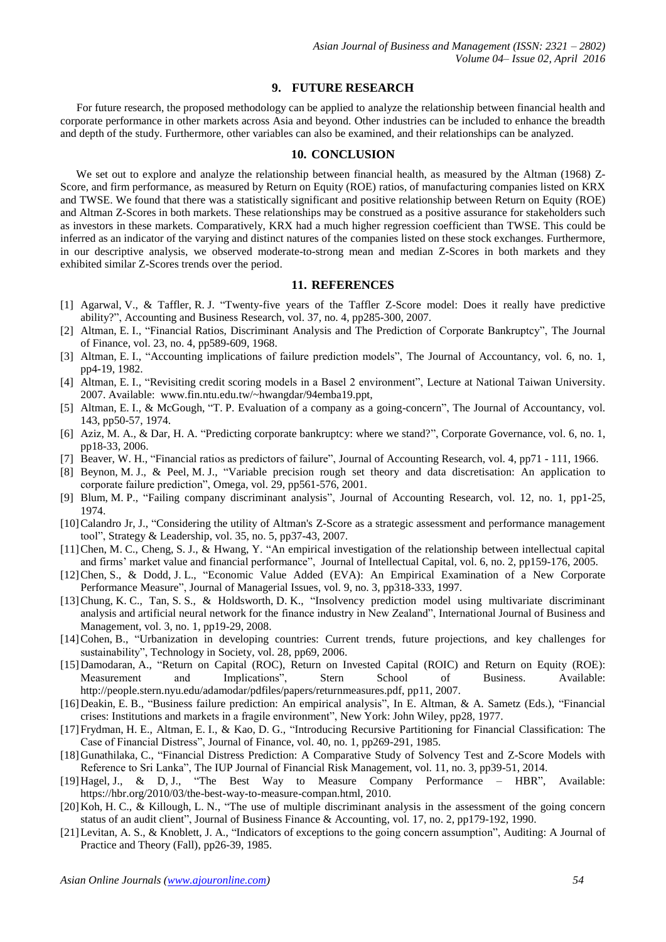#### **9. FUTURE RESEARCH**

For future research, the proposed methodology can be applied to analyze the relationship between financial health and corporate performance in other markets across Asia and beyond. Other industries can be included to enhance the breadth and depth of the study. Furthermore, other variables can also be examined, and their relationships can be analyzed.

#### **10. CONCLUSION**

We set out to explore and analyze the relationship between financial health, as measured by the Altman (1968) Z-Score, and firm performance, as measured by Return on Equity (ROE) ratios, of manufacturing companies listed on KRX and TWSE. We found that there was a statistically significant and positive relationship between Return on Equity (ROE) and Altman Z-Scores in both markets. These relationships may be construed as a positive assurance for stakeholders such as investors in these markets. Comparatively, KRX had a much higher regression coefficient than TWSE. This could be inferred as an indicator of the varying and distinct natures of the companies listed on these stock exchanges. Furthermore, in our descriptive analysis, we observed moderate-to-strong mean and median Z-Scores in both markets and they exhibited similar Z-Scores trends over the period.

#### **11. REFERENCES**

- [1] Agarwal, V., & Taffler, R. J. "Twenty-five years of the Taffler Z-Score model: Does it really have predictive ability?", Accounting and Business Research, vol. 37, no. 4, pp285-300, 2007.
- [2] Altman, E. I., "Financial Ratios, Discriminant Analysis and The Prediction of Corporate Bankruptcy", The Journal of Finance, vol. 23, no. 4, pp589-609, 1968.
- [3] Altman, E. I., "Accounting implications of failure prediction models", The Journal of Accountancy, vol. 6, no. 1, pp4-19, 1982.
- [4] Altman, E. I., "Revisiting credit scoring models in a Basel 2 environment", Lecture at National Taiwan University. 2007. Available: www.fin.ntu.edu.tw/~hwangdar/94emba19.ppt,
- [5] Altman, E. I., & McGough, "T. P. Evaluation of a company as a going-concern", The Journal of Accountancy, vol. 143, pp50-57, 1974.
- [6] Aziz, M. A., & Dar, H. A. "Predicting corporate bankruptcy: where we stand?", Corporate Governance, vol. 6, no. 1, pp18-33, 2006.
- [7] Beaver, W. H., "Financial ratios as predictors of failure", Journal of Accounting Research, vol. 4, pp71 111, 1966.
- [8] Beynon, M. J., & Peel, M. J., "Variable precision rough set theory and data discretisation: An application to corporate failure prediction", Omega, vol. 29, pp561-576, 2001.
- [9] Blum, M. P., "Failing company discriminant analysis", Journal of Accounting Research, vol. 12, no. 1, pp1-25, 1974.
- [10]Calandro Jr, J., "Considering the utility of Altman's Z-Score as a strategic assessment and performance management tool", Strategy & Leadership, vol. 35, no. 5, pp37-43, 2007.
- [11]Chen, M. C., Cheng, S. J., & Hwang, Y. "An empirical investigation of the relationship between intellectual capital and firms' market value and financial performance", Journal of Intellectual Capital, vol. 6, no. 2, pp159-176, 2005.
- [12]Chen, S., & Dodd, J. L., "Economic Value Added (EVA): An Empirical Examination of a New Corporate Performance Measure", Journal of Managerial Issues, vol. 9, no. 3, pp318-333, 1997.
- [13]Chung, K. C., Tan, S. S., & Holdsworth, D. K., "Insolvency prediction model using multivariate discriminant analysis and artificial neural network for the finance industry in New Zealand", International Journal of Business and Management, vol. 3, no. 1, pp19-29, 2008.
- [14]Cohen, B., "Urbanization in developing countries: Current trends, future projections, and key challenges for sustainability", Technology in Society, vol. 28, pp69, 2006.
- [15]Damodaran, A., "Return on Capital (ROC), Return on Invested Capital (ROIC) and Return on Equity (ROE): Measurement and Implications", Stern School of Business. Available: http://people.stern.nyu.edu/adamodar/pdfiles/papers/returnmeasures.pdf, pp11, 2007.
- [16]Deakin, E. B., "Business failure prediction: An empirical analysis", In E. Altman, & A. Sametz (Eds.), "Financial crises: Institutions and markets in a fragile environment", New York: John Wiley, pp28, 1977.
- [17]Frydman, H. E., Altman, E. I., & Kao, D. G., "Introducing Recursive Partitioning for Financial Classification: The Case of Financial Distress", Journal of Finance, vol. 40, no. 1, pp269-291, 1985.
- [18]Gunathilaka, C., "Financial Distress Prediction: A Comparative Study of Solvency Test and Z-Score Models with Reference to Sri Lanka", The IUP Journal of Financial Risk Management, vol. 11, no. 3, pp39-51, 2014.
- [19]Hagel, J., & D, J., "The Best Way to Measure Company Performance HBR", Available: https://hbr.org/2010/03/the-best-way-to-measure-compan.html, 2010.
- [20]Koh, H. C., & Killough, L. N., "The use of multiple discriminant analysis in the assessment of the going concern status of an audit client", Journal of Business Finance & Accounting, vol. 17, no. 2, pp179-192, 1990.
- [21]Levitan, A. S., & Knoblett, J. A., "Indicators of exceptions to the going concern assumption", Auditing: A Journal of Practice and Theory (Fall), pp26-39, 1985.